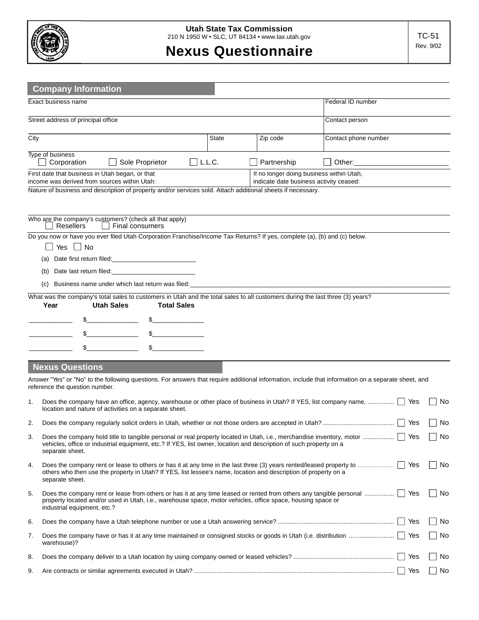

## **Nexus Questionnaire**

|                                    | <b>Company Information</b>                                                                                                                                                            |       |                                                                                     |                      |    |  |  |  |
|------------------------------------|---------------------------------------------------------------------------------------------------------------------------------------------------------------------------------------|-------|-------------------------------------------------------------------------------------|----------------------|----|--|--|--|
|                                    | Exact business name                                                                                                                                                                   |       |                                                                                     | Federal ID number    |    |  |  |  |
| Street address of principal office |                                                                                                                                                                                       |       |                                                                                     | Contact person       |    |  |  |  |
| City                               |                                                                                                                                                                                       | State | Zip code                                                                            | Contact phone number |    |  |  |  |
|                                    | Type of business<br>Corporation<br>$ $ $ $ L.L.C.<br>Sole Proprietor                                                                                                                  |       | Partnership                                                                         |                      |    |  |  |  |
|                                    | First date that business in Utah began, or that<br>income was derived from sources within Utah:                                                                                       |       | If no longer doing business within Utah,<br>indicate date business activity ceased: |                      |    |  |  |  |
|                                    | Nature of business and description of property and/or services sold. Attach additional sheets if necessary.                                                                           |       |                                                                                     |                      |    |  |  |  |
|                                    |                                                                                                                                                                                       |       |                                                                                     |                      |    |  |  |  |
|                                    | Who are the company's customers? (check all that apply)<br>∣ Resellers<br>  Final consumers                                                                                           |       |                                                                                     |                      |    |  |  |  |
|                                    | Do you now or have you ever filed Utah Corporation Franchise/Income Tax Returns? If yes, complete (a), (b) and (c) below.                                                             |       |                                                                                     |                      |    |  |  |  |
|                                    | $\Box$ Yes $\Box$ No                                                                                                                                                                  |       |                                                                                     |                      |    |  |  |  |
|                                    | (a)                                                                                                                                                                                   |       |                                                                                     |                      |    |  |  |  |
|                                    | Date last return filed: Date is a series of the series of the series of the series of the series of the series<br>(b)                                                                 |       |                                                                                     |                      |    |  |  |  |
|                                    | (c) Business name under which last return was filed: ___________________________                                                                                                      |       |                                                                                     |                      |    |  |  |  |
|                                    | What was the company's total sales to customers in Utah and the total sales to all customers during the last three (3) years?<br><b>Utah Sales</b><br>Year<br><b>Total Sales</b>      |       |                                                                                     |                      |    |  |  |  |
|                                    | $\frac{1}{2}$                                                                                                                                                                         |       |                                                                                     |                      |    |  |  |  |
|                                    | $\frac{1}{2}$<br>$\frac{1}{2}$                                                                                                                                                        |       |                                                                                     |                      |    |  |  |  |
|                                    | $\frac{1}{2}$                                                                                                                                                                         |       |                                                                                     |                      |    |  |  |  |
|                                    |                                                                                                                                                                                       |       |                                                                                     |                      |    |  |  |  |
|                                    | <b>Nexus Questions</b>                                                                                                                                                                |       |                                                                                     |                      |    |  |  |  |
|                                    | Answer "Yes" or "No" to the following questions. For answers that require additional information, include that information on a separate sheet, and<br>reference the question number. |       |                                                                                     |                      |    |  |  |  |
| 1.                                 | Does the company have an office, agency, warehouse or other place of business in Utah? If YES, list company name,    Yes<br>location and nature of activities on a separate sheet.    |       |                                                                                     |                      | No |  |  |  |
| 2.                                 |                                                                                                                                                                                       |       |                                                                                     |                      | No |  |  |  |
| 3.                                 | vehicles, office or industrial equipment, etc.? If YES, list owner, location and description of such property on a                                                                    |       |                                                                                     |                      | No |  |  |  |
|                                    | separate sheet.                                                                                                                                                                       |       |                                                                                     |                      |    |  |  |  |
| 4.                                 | others who then use the property in Utah? If YES, list lessee's name, location and description of property on a<br>separate sheet.                                                    |       |                                                                                     |                      | No |  |  |  |
| 5.                                 | property located and/or used in Utah, i.e., warehouse space, motor vehicles, office space, housing space or<br>industrial equipment, etc.?                                            |       |                                                                                     |                      | No |  |  |  |
| 6.                                 |                                                                                                                                                                                       |       |                                                                                     |                      | No |  |  |  |
| 7.                                 | warehouse)?                                                                                                                                                                           |       |                                                                                     |                      | No |  |  |  |
| 8.                                 |                                                                                                                                                                                       |       |                                                                                     | Yes                  | No |  |  |  |
| 9.                                 |                                                                                                                                                                                       |       |                                                                                     | Yes                  | No |  |  |  |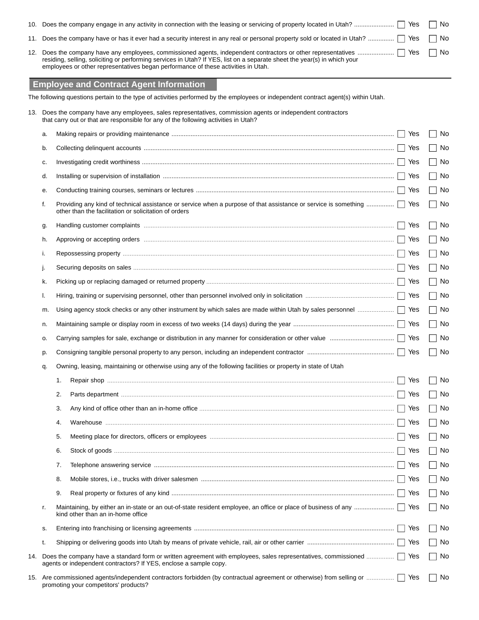| $\Box$ Yes $\Box$                                                                                                                                                                                             | No   |
|---------------------------------------------------------------------------------------------------------------------------------------------------------------------------------------------------------------|------|
| 11. Does the company have or has it ever had a security interest in any real or personal property sold or located in Utah?    Yes                                                                             | l No |
| residing, selling, soliciting or performing services in Utah? If YES, list on a separate sheet the year(s) in which your<br>employees or other representatives began performance of these activities in Utah. |      |

## **Employee and Contract Agent Information**

The following questions pertain to the type of activities performed by the employees or independent contract agent(s) within Utah.

|     |                                                                                                                    | 13. Does the company have any employees, sales representatives, commission agents or independent contractors<br>that carry out or that are responsible for any of the following activities in Utah? |     |                                   |  |  |
|-----|--------------------------------------------------------------------------------------------------------------------|-----------------------------------------------------------------------------------------------------------------------------------------------------------------------------------------------------|-----|-----------------------------------|--|--|
|     | a.                                                                                                                 |                                                                                                                                                                                                     | Yes | No                                |  |  |
|     | b.                                                                                                                 |                                                                                                                                                                                                     |     | No                                |  |  |
|     | c.                                                                                                                 |                                                                                                                                                                                                     | Yes | No                                |  |  |
|     | d.                                                                                                                 |                                                                                                                                                                                                     | Yes | No<br>$\Box$                      |  |  |
|     | е.                                                                                                                 |                                                                                                                                                                                                     | Yes | No<br>$\Box$                      |  |  |
|     | f.                                                                                                                 | Providing any kind of technical assistance or service when a purpose of that assistance or service is something  [<br>other than the facilitation or solicitation of orders                         |     |                                   |  |  |
|     | g.                                                                                                                 |                                                                                                                                                                                                     |     | $\Box$ No                         |  |  |
|     | h.                                                                                                                 |                                                                                                                                                                                                     | Yes | No<br>$\Box$                      |  |  |
|     | i.                                                                                                                 |                                                                                                                                                                                                     | Yes | $\Box$ No                         |  |  |
|     | J.                                                                                                                 |                                                                                                                                                                                                     | Yes | No<br>$\Box$                      |  |  |
|     | k.                                                                                                                 |                                                                                                                                                                                                     | Yes | $\Box$ No                         |  |  |
|     | I.                                                                                                                 |                                                                                                                                                                                                     |     | $\Box$ No                         |  |  |
|     | m.                                                                                                                 | Using agency stock checks or any other instrument by which sales are made within Utah by sales personnel                                                                                            | Yes | $\Box$ No                         |  |  |
|     | n.                                                                                                                 |                                                                                                                                                                                                     |     | No<br>$\mathcal{L}^{\mathcal{A}}$ |  |  |
|     | О.                                                                                                                 |                                                                                                                                                                                                     | Yes | $\Box$ No                         |  |  |
|     | p.                                                                                                                 |                                                                                                                                                                                                     |     | No<br>$\mathsf{L}$                |  |  |
|     | Owning, leasing, maintaining or otherwise using any of the following facilities or property in state of Utah<br>q. |                                                                                                                                                                                                     |     |                                   |  |  |
|     |                                                                                                                    | 1.                                                                                                                                                                                                  | Yes | No<br>$\mathsf{L}$                |  |  |
|     |                                                                                                                    | 2.                                                                                                                                                                                                  | Yes | No<br>$\mathsf{I}$                |  |  |
|     |                                                                                                                    | 3.                                                                                                                                                                                                  | Yes | No<br>$\perp$                     |  |  |
|     |                                                                                                                    | 4.                                                                                                                                                                                                  | Yes | $\Box$ No                         |  |  |
|     |                                                                                                                    | 5.                                                                                                                                                                                                  | Yes | No<br>$\Box$                      |  |  |
|     |                                                                                                                    | 6.                                                                                                                                                                                                  |     | No<br>$\mathsf{L}$                |  |  |
|     |                                                                                                                    | 7.                                                                                                                                                                                                  | Yes | No                                |  |  |
|     |                                                                                                                    | 8.                                                                                                                                                                                                  | Yes | No<br>$\mathbf{I}$                |  |  |
|     |                                                                                                                    | 9.                                                                                                                                                                                                  | Yes | $\Box$ No                         |  |  |
|     | r.                                                                                                                 | kind other than an in-home office                                                                                                                                                                   | Yes | No<br>$\mathbf{I}$                |  |  |
|     | S.                                                                                                                 |                                                                                                                                                                                                     | Yes | No.                               |  |  |
|     | t.                                                                                                                 |                                                                                                                                                                                                     | Yes | No                                |  |  |
| 14. |                                                                                                                    | Does the company have a standard form or written agreement with employees, sales representatives, commissioned  <br>agents or independent contractors? If YES, enclose a sample copy.               | Yes | No<br>$\mathbb{R}$                |  |  |
|     |                                                                                                                    | 15. Are commissioned agents/independent contractors forbidden (by contractual agreement or otherwise) from selling or     Yes<br>promoting your competitors' products?                              |     | No.<br>$\mathsf{I}$               |  |  |